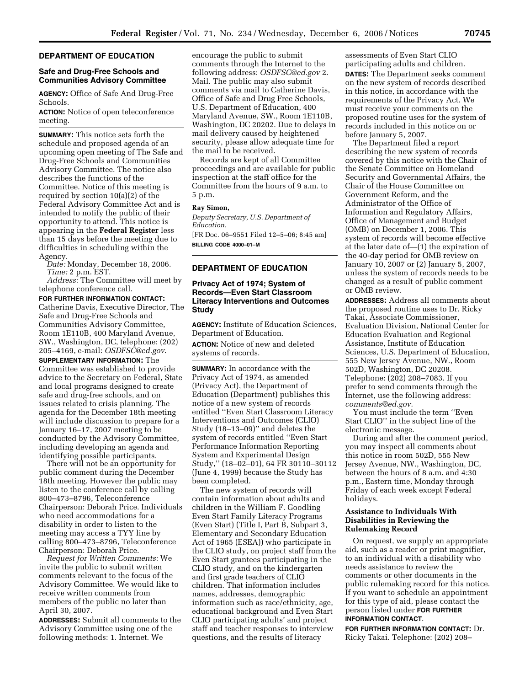### **DEPARTMENT OF EDUCATION**

## **Safe and Drug-Free Schools and Communities Advisory Committee**

**AGENCY:** Office of Safe And Drug-Free Schools.

**ACTION:** Notice of open teleconference meeting.

**SUMMARY:** This notice sets forth the schedule and proposed agenda of an upcoming open meeting of The Safe and Drug-Free Schools and Communities Advisory Committee. The notice also describes the functions of the Committee. Notice of this meeting is required by section 10(a)(2) of the Federal Advisory Committee Act and is intended to notify the public of their opportunity to attend. This notice is appearing in the **Federal Register** less than 15 days before the meeting due to difficulties in scheduling within the Agency.

*Date:* Monday, December 18, 2006. *Time:* 2 p.m. EST.

*Address:* The Committee will meet by telephone conference call.

**FOR FURTHER INFORMATION CONTACT:**  Catherine Davis, Executive Director, The Safe and Drug-Free Schools and Communities Advisory Committee, Room 1E110B, 400 Maryland Avenue, SW., Washington, DC, telephone: (202) 205–4169, e-mail: *OSDFSC@ed.gov*.

**SUPPLEMENTARY INFORMATION:** The Committee was established to provide advice to the Secretary on Federal, State and local programs designed to create safe and drug-free schools, and on issues related to crisis planning. The agenda for the December 18th meeting will include discussion to prepare for a January 16–17, 2007 meeting to be conducted by the Advisory Committee, including developing an agenda and identifying possible participants.

There will not be an opportunity for public comment during the December 18th meeting. However the public may listen to the conference call by calling 800–473–8796, Teleconference Chairperson: Deborah Price. Individuals who need accommodations for a disability in order to listen to the meeting may access a TYY line by calling 800–473–8796, Teleconference Chairperson: Deborah Price.

*Request for Written Comments:* We invite the public to submit written comments relevant to the focus of the Advisory Committee. We would like to receive written comments from members of the public no later than April 30, 2007.

**ADDRESSES:** Submit all comments to the Advisory Committee using one of the following methods: 1. Internet. We

encourage the public to submit comments through the Internet to the following address: *OSDFSC@ed.gov* 2. Mail. The public may also submit comments via mail to Catherine Davis, Office of Safe and Drug Free Schools, U.S. Department of Education, 400 Maryland Avenue, SW., Room 1E110B, Washington, DC 20202. Due to delays in mail delivery caused by heightened security, please allow adequate time for the mail to be received.

Records are kept of all Committee proceedings and are available for public inspection at the staff office for the Committee from the hours of 9 a.m. to 5 p.m.

# **Ray Simon,**

*Deputy Secretary, U.S. Department of Education.* 

[FR Doc. 06–9551 Filed 12–5–06; 8:45 am] **BILLING CODE 4000–01–M** 

# **DEPARTMENT OF EDUCATION**

## **Privacy Act of 1974; System of Records—Even Start Classroom Literacy Interventions and Outcomes Study**

**AGENCY:** Institute of Education Sciences, Department of Education.

**ACTION:** Notice of new and deleted systems of records.

**SUMMARY:** In accordance with the Privacy Act of 1974, as amended (Privacy Act), the Department of Education (Department) publishes this notice of a new system of records entitled ''Even Start Classroom Literacy Interventions and Outcomes (CLIO) Study (18–13–09)'' and deletes the system of records entitled ''Even Start Performance Information Reporting System and Experimental Design Study,'' (18–02–01), 64 FR 30110–30112 (June 4, 1999) because the Study has been completed.

The new system of records will contain information about adults and children in the William F. Goodling Even Start Family Literacy Programs (Even Start) (Title I, Part B, Subpart 3, Elementary and Secondary Education Act of 1965 (ESEA)) who participate in the CLIO study, on project staff from the Even Start grantees participating in the CLIO study, and on the kindergarten and first grade teachers of CLIO children. That information includes names, addresses, demographic information such as race/ethnicity, age, educational background and Even Start CLIO participating adults' and project staff and teacher responses to interview questions, and the results of literacy

assessments of Even Start CLIO participating adults and children. **DATES:** The Department seeks comment on the new system of records described in this notice, in accordance with the requirements of the Privacy Act. We must receive your comments on the proposed routine uses for the system of records included in this notice on or before January 5, 2007.

The Department filed a report describing the new system of records covered by this notice with the Chair of the Senate Committee on Homeland Security and Governmental Affairs, the Chair of the House Committee on Government Reform, and the Administrator of the Office of Information and Regulatory Affairs, Office of Management and Budget (OMB) on December 1, 2006. This system of records will become effective at the later date of—(1) the expiration of the 40-day period for OMB review on January 10, 2007 or (2) January 5, 2007, unless the system of records needs to be changed as a result of public comment or OMB review.

**ADDRESSES:** Address all comments about the proposed routine uses to Dr. Ricky Takai, Associate Commissioner, Evaluation Division, National Center for Education Evaluation and Regional Assistance, Institute of Education Sciences, U.S. Department of Education, 555 New Jersey Avenue, NW., Room 502D, Washington, DC 20208. Telephone: (202) 208–7083. If you prefer to send comments through the Internet, use the following address: *comments@ed.gov.* 

You must include the term ''Even Start CLIO'' in the subject line of the electronic message.

During and after the comment period, you may inspect all comments about this notice in room 502D, 555 New Jersey Avenue, NW., Washington, DC, between the hours of 8 a.m. and 4:30 p.m., Eastern time, Monday through Friday of each week except Federal holidays.

## **Assistance to Individuals With Disabilities in Reviewing the Rulemaking Record**

On request, we supply an appropriate aid, such as a reader or print magnifier, to an individual with a disability who needs assistance to review the comments or other documents in the public rulemaking record for this notice. If you want to schedule an appointment for this type of aid, please contact the person listed under **FOR FURTHER INFORMATION CONTACT**.

**FOR FURTHER INFORMATION CONTACT:** Dr. Ricky Takai. Telephone: (202) 208–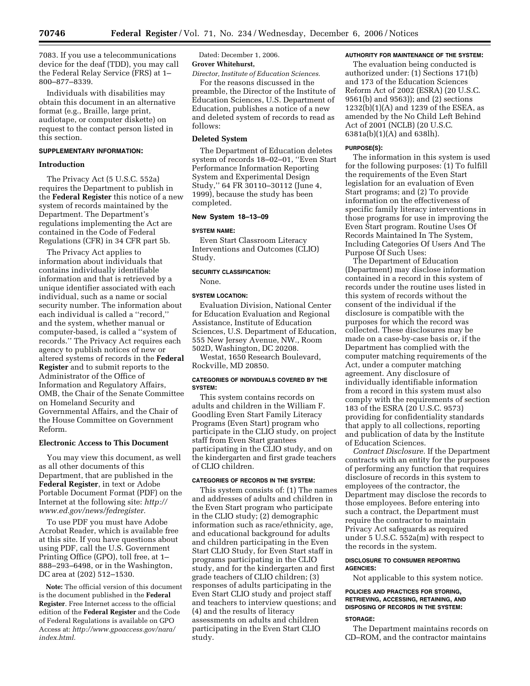7083. If you use a telecommunications device for the deaf (TDD), you may call the Federal Relay Service (FRS) at 1– 800–877–8339.

Individuals with disabilities may obtain this document in an alternative format (e.g., Braille, large print, audiotape, or computer diskette) on request to the contact person listed in this section.

## **SUPPLEMENTARY INFORMATION:**

## **Introduction**

The Privacy Act (5 U.S.C. 552a) requires the Department to publish in the **Federal Register** this notice of a new system of records maintained by the Department. The Department's regulations implementing the Act are contained in the Code of Federal Regulations (CFR) in 34 CFR part 5b.

The Privacy Act applies to information about individuals that contains individually identifiable information and that is retrieved by a unique identifier associated with each individual, such as a name or social security number. The information about each individual is called a ''record,'' and the system, whether manual or computer-based, is called a ''system of records.'' The Privacy Act requires each agency to publish notices of new or altered systems of records in the **Federal Register** and to submit reports to the Administrator of the Office of Information and Regulatory Affairs, OMB, the Chair of the Senate Committee on Homeland Security and Governmental Affairs, and the Chair of the House Committee on Government Reform.

#### **Electronic Access to This Document**

You may view this document, as well as all other documents of this Department, that are published in the **Federal Register**, in text or Adobe Portable Document Format (PDF) on the Internet at the following site: *http:// www.ed.gov/news/fedregister.* 

To use PDF you must have Adobe Acrobat Reader, which is available free at this site. If you have questions about using PDF, call the U.S. Government Printing Office (GPO), toll free, at 1– 888–293–6498, or in the Washington, DC area at (202) 512–1530.

**Note:** The official version of this document is the document published in the **Federal Register**. Free Internet access to the official edition of the **Federal Register** and the Code of Federal Regulations is available on GPO Access at: *http://www.gpoaccess.gov/nara/ index.html.* 

Dated: December 1, 2006. **Grover Whitehurst,** 

*Director, Institute of Education Sciences.*  For the reasons discussed in the

preamble, the Director of the Institute of Education Sciences, U.S. Department of Education, publishes a notice of a new and deleted system of records to read as follows:

## **Deleted System**

The Department of Education deletes system of records 18–02–01, ''Even Start Performance Information Reporting System and Experimental Design Study,'' 64 FR 30110–30112 (June 4, 1999), because the study has been completed.

## **New System 18–13–09**

#### **SYSTEM NAME:**

Even Start Classroom Literacy Interventions and Outcomes (CLIO) Study.

### **SECURITY CLASSIFICATION:**  None.

## **SYSTEM LOCATION:**

Evaluation Division, National Center for Education Evaluation and Regional Assistance, Institute of Education Sciences, U.S. Department of Education, 555 New Jersey Avenue, NW., Room 502D, Washington, DC 20208.

Westat, 1650 Research Boulevard, Rockville, MD 20850.

## **CATEGORIES OF INDIVIDUALS COVERED BY THE SYSTEM:**

This system contains records on adults and children in the William F. Goodling Even Start Family Literacy Programs (Even Start) program who participate in the CLIO study, on project staff from Even Start grantees participating in the CLIO study, and on the kindergarten and first grade teachers of CLIO children.

# **CATEGORIES OF RECORDS IN THE SYSTEM:**

This system consists of: (1) The names and addresses of adults and children in the Even Start program who participate in the CLIO study; (2) demographic information such as race/ethnicity, age, and educational background for adults and children participating in the Even Start CLIO Study, for Even Start staff in programs participating in the CLIO study, and for the kindergarten and first grade teachers of CLIO children; (3) responses of adults participating in the Even Start CLIO study and project staff and teachers to interview questions; and (4) and the results of literacy assessments on adults and children participating in the Even Start CLIO study.

### **AUTHORITY FOR MAINTENANCE OF THE SYSTEM:**

The evaluation being conducted is authorized under: (1) Sections 171(b) and 173 of the Education Sciences Reform Act of 2002 (ESRA) (20 U.S.C. 9561(b) and 9563)); and (2) sections 1232(b)(1)(A) and 1239 of the ESEA, as amended by the No Child Left Behind Act of 2001 (NCLB) (20 U.S.C. 6381a(b)(1)(A) and 638lh).

#### **PURPOSE(S):**

The information in this system is used for the following purposes: (1) To fulfill the requirements of the Even Start legislation for an evaluation of Even Start programs; and (2) To provide information on the effectiveness of specific family literacy interventions in those programs for use in improving the Even Start program. Routine Uses Of Records Maintained In The System, Including Categories Of Users And The Purpose Of Such Uses:

The Department of Education (Department) may disclose information contained in a record in this system of records under the routine uses listed in this system of records without the consent of the individual if the disclosure is compatible with the purposes for which the record was collected. These disclosures may be made on a case-by-case basis or, if the Department has complied with the computer matching requirements of the Act, under a computer matching agreement. Any disclosure of individually identifiable information from a record in this system must also comply with the requirements of section 183 of the ESRA (20 U.S.C. 9573) providing for confidentiality standards that apply to all collections, reporting and publication of data by the Institute of Education Sciences.

*Contract Disclosure.* If the Department contracts with an entity for the purposes of performing any function that requires disclosure of records in this system to employees of the contractor, the Department may disclose the records to those employees. Before entering into such a contract, the Department must require the contractor to maintain Privacy Act safeguards as required under 5 U.S.C. 552a(m) with respect to the records in the system.

### **DISCLOSURE TO CONSUMER REPORTING AGENCIES:**

Not applicable to this system notice.

#### **POLICIES AND PRACTICES FOR STORING, RETRIEVING, ACCESSING, RETAINING, AND DISPOSING OF RECORDS IN THE SYSTEM:**

#### **STORAGE:**

The Department maintains records on CD–ROM, and the contractor maintains